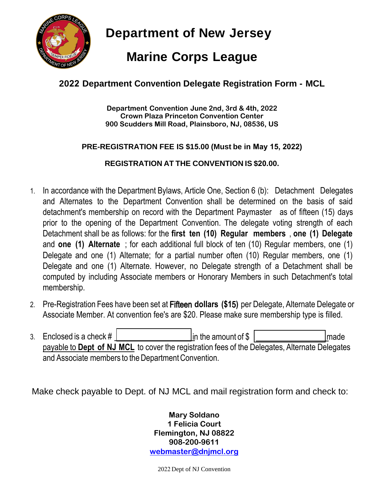

**Department of New Jersey**

# **Marine Corps League**

## **2022 Department Convention Delegate Registration Form - MCL**

**Department Convention June 2nd, 3rd & 4th, 2022 Crown Plaza Princeton Convention Center 900 Scudders Mill Road, Plainsboro, NJ, 08536, US**

### **PRE-REGISTRATION FEE IS \$15.00 (Must be in May 15, 2022)**

### **REGISTRATION AT THE CONVENTION IS \$20.00.**

- 1. In accordance with the Department Bylaws, Article One, Section 6 (b): Detachment Delegates and Alternates to the Department Convention shall be determined on the basis of said detachment's membership on record with the Department Paymaster as of fifteen (15) days prior to the opening of the Department Convention. The delegate voting strength of each Detachment shall be as follows: for the **first ten (10) Regular members** , **one (1) Delegate** and **one (1) Alternate** ; for each additional full block of ten (10) Regular members, one (1) Delegate and one (1) Alternate; for a partial number often (10) Regular members, one (1) Delegate and one (1) Alternate. However, no Delegate strength of a Detachment shall be computed by including Associate members or Honorary Members in such Detachment's total membership.
- 2. Pre-Registration Fees have been set at Fifteen **dollars (\$1**5**)** per Delegate, Alternate Delegate or Associate Member. At convention fee's are \$20. Please make sure membership type is filled.
- 3. Enclosed is a check  $\#$  in the amount of \$ in the amount of \$ in the amount of \$ in the amount of \$ in the amount of \$ in the amount of \$ in the subpayable to **Dept of NJ MCL** to cover the registration fees of the Delegates, Alternate Delegates and Associate members to the Department Convention.

Make check payable to Dept. of NJ MCL and mail registration form and check to:

**Mary Soldano 1 Felicia Court Flemington, NJ 08822 908-200-9611 [webmaster@dnjmcl.org](mailto:webmaster@dnjmcl.org)**

2022 Dept of NJ Convention